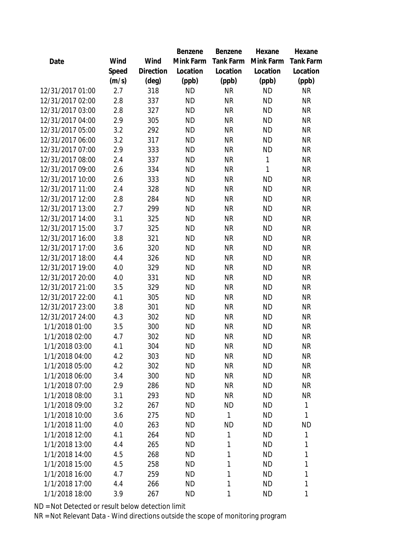|                  |       |                | Benzene   | Benzene          | Hexane       | Hexane           |
|------------------|-------|----------------|-----------|------------------|--------------|------------------|
| Date             | Wind  | Wind           | Mink Farm | <b>Tank Farm</b> | Mink Farm    | <b>Tank Farm</b> |
|                  | Speed | Direction      | Location  | Location         | Location     | Location         |
|                  | (m/s) | $(\text{deg})$ | (ppb)     | (ppb)            | (ppb)        | (ppb)            |
| 12/31/2017 01:00 | 2.7   | 318            | <b>ND</b> | <b>NR</b>        | <b>ND</b>    | <b>NR</b>        |
| 12/31/2017 02:00 | 2.8   | 337            | <b>ND</b> | <b>NR</b>        | <b>ND</b>    | <b>NR</b>        |
| 12/31/2017 03:00 | 2.8   | 327            | <b>ND</b> | <b>NR</b>        | <b>ND</b>    | <b>NR</b>        |
| 12/31/2017 04:00 | 2.9   | 305            | <b>ND</b> | <b>NR</b>        | <b>ND</b>    | <b>NR</b>        |
| 12/31/2017 05:00 | 3.2   | 292            | <b>ND</b> | <b>NR</b>        | <b>ND</b>    | <b>NR</b>        |
| 12/31/2017 06:00 | 3.2   | 317            | <b>ND</b> | <b>NR</b>        | <b>ND</b>    | <b>NR</b>        |
| 12/31/2017 07:00 | 2.9   | 333            | <b>ND</b> | <b>NR</b>        | <b>ND</b>    | <b>NR</b>        |
| 12/31/2017 08:00 | 2.4   | 337            | <b>ND</b> | <b>NR</b>        | $\mathbf{1}$ | <b>NR</b>        |
| 12/31/2017 09:00 | 2.6   | 334            | <b>ND</b> | <b>NR</b>        | 1            | <b>NR</b>        |
| 12/31/2017 10:00 | 2.6   | 333            | <b>ND</b> | <b>NR</b>        | <b>ND</b>    | <b>NR</b>        |
| 12/31/2017 11:00 | 2.4   | 328            | <b>ND</b> | <b>NR</b>        | <b>ND</b>    | <b>NR</b>        |
| 12/31/2017 12:00 | 2.8   | 284            | <b>ND</b> | <b>NR</b>        | <b>ND</b>    | <b>NR</b>        |
| 12/31/2017 13:00 | 2.7   | 299            | <b>ND</b> | <b>NR</b>        | <b>ND</b>    | <b>NR</b>        |
| 12/31/2017 14:00 | 3.1   | 325            | <b>ND</b> | <b>NR</b>        | <b>ND</b>    | <b>NR</b>        |
| 12/31/2017 15:00 | 3.7   | 325            | <b>ND</b> | <b>NR</b>        | <b>ND</b>    | <b>NR</b>        |
| 12/31/2017 16:00 | 3.8   | 321            | <b>ND</b> | <b>NR</b>        | <b>ND</b>    | <b>NR</b>        |
| 12/31/2017 17:00 | 3.6   | 320            | <b>ND</b> | <b>NR</b>        | <b>ND</b>    | <b>NR</b>        |
| 12/31/2017 18:00 | 4.4   | 326            | <b>ND</b> | <b>NR</b>        | <b>ND</b>    | <b>NR</b>        |
| 12/31/2017 19:00 | 4.0   | 329            | <b>ND</b> | <b>NR</b>        | <b>ND</b>    | <b>NR</b>        |
| 12/31/2017 20:00 | 4.0   | 331            | <b>ND</b> | <b>NR</b>        | <b>ND</b>    | <b>NR</b>        |
| 12/31/2017 21:00 | 3.5   | 329            | <b>ND</b> | <b>NR</b>        | <b>ND</b>    | <b>NR</b>        |
| 12/31/2017 22:00 | 4.1   | 305            | <b>ND</b> | <b>NR</b>        | <b>ND</b>    | <b>NR</b>        |
| 12/31/2017 23:00 | 3.8   | 301            | <b>ND</b> | <b>NR</b>        | <b>ND</b>    | <b>NR</b>        |
| 12/31/2017 24:00 | 4.3   | 302            | <b>ND</b> | <b>NR</b>        | <b>ND</b>    | <b>NR</b>        |
| 1/1/2018 01:00   | 3.5   | 300            | <b>ND</b> | <b>NR</b>        | <b>ND</b>    | <b>NR</b>        |
| 1/1/2018 02:00   | 4.7   | 302            | <b>ND</b> | <b>NR</b>        | <b>ND</b>    | <b>NR</b>        |
| 1/1/2018 03:00   | 4.1   | 304            | <b>ND</b> | <b>NR</b>        | <b>ND</b>    | <b>NR</b>        |
| 1/1/2018 04:00   | 4.2   | 303            | <b>ND</b> | <b>NR</b>        | <b>ND</b>    | <b>NR</b>        |
| 1/1/2018 05:00   | 4.2   | 302            | <b>ND</b> | <b>NR</b>        | <b>ND</b>    | <b>NR</b>        |
| 1/1/2018 06:00   | 3.4   | 300            | <b>ND</b> | <b>NR</b>        | <b>ND</b>    | <b>NR</b>        |
| 1/1/2018 07:00   | 2.9   | 286            | ND        | <b>NR</b>        | <b>ND</b>    | <b>NR</b>        |
| 1/1/2018 08:00   | 3.1   | 293            | <b>ND</b> | <b>NR</b>        | <b>ND</b>    | <b>NR</b>        |
| 1/1/2018 09:00   | 3.2   | 267            | <b>ND</b> | <b>ND</b>        | <b>ND</b>    | 1                |
| 1/1/2018 10:00   | 3.6   | 275            | <b>ND</b> | 1                | <b>ND</b>    | 1                |
| 1/1/2018 11:00   | 4.0   | 263            | <b>ND</b> | <b>ND</b>        | <b>ND</b>    | <b>ND</b>        |
| 1/1/2018 12:00   | 4.1   | 264            | ND        | 1                | <b>ND</b>    | 1                |
| 1/1/2018 13:00   | 4.4   | 265            | <b>ND</b> | 1                | <b>ND</b>    | 1                |
| 1/1/2018 14:00   | 4.5   | 268            | <b>ND</b> | 1                | <b>ND</b>    | 1                |
| 1/1/2018 15:00   | 4.5   | 258            | <b>ND</b> | 1                | <b>ND</b>    | 1                |
| 1/1/2018 16:00   | 4.7   | 259            | <b>ND</b> | 1                | <b>ND</b>    | 1                |
| 1/1/2018 17:00   | 4.4   | 266            | <b>ND</b> | 1                | <b>ND</b>    | 1                |
| 1/1/2018 18:00   | 3.9   | 267            | <b>ND</b> | 1                | <b>ND</b>    | 1                |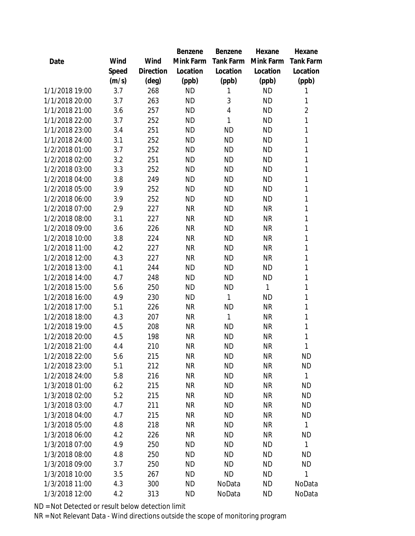|                |       |                | <b>Benzene</b> | Benzene   | Hexane       | Hexane         |
|----------------|-------|----------------|----------------|-----------|--------------|----------------|
| Date           | Wind  | Wind           | Mink Farm      | Tank Farm | Mink Farm    | Tank Farm      |
|                | Speed | Direction      | Location       | Location  | Location     | Location       |
|                | (m/s) | $(\text{deg})$ | (ppb)          | (ppb)     | (ppb)        | (ppb)          |
| 1/1/2018 19:00 | 3.7   | 268            | <b>ND</b>      | 1         | <b>ND</b>    | 1              |
| 1/1/2018 20:00 | 3.7   | 263            | <b>ND</b>      | 3         | <b>ND</b>    | 1              |
| 1/1/2018 21:00 | 3.6   | 257            | <b>ND</b>      | 4         | <b>ND</b>    | $\overline{2}$ |
| 1/1/2018 22:00 | 3.7   | 252            | <b>ND</b>      | 1         | <b>ND</b>    | 1              |
| 1/1/2018 23:00 | 3.4   | 251            | <b>ND</b>      | <b>ND</b> | <b>ND</b>    | 1              |
| 1/1/2018 24:00 | 3.1   | 252            | <b>ND</b>      | <b>ND</b> | <b>ND</b>    | 1              |
| 1/2/2018 01:00 | 3.7   | 252            | <b>ND</b>      | <b>ND</b> | <b>ND</b>    | 1              |
| 1/2/2018 02:00 | 3.2   | 251            | <b>ND</b>      | <b>ND</b> | <b>ND</b>    | 1              |
| 1/2/2018 03:00 | 3.3   | 252            | <b>ND</b>      | <b>ND</b> | <b>ND</b>    | 1              |
| 1/2/2018 04:00 | 3.8   | 249            | <b>ND</b>      | <b>ND</b> | <b>ND</b>    | 1              |
| 1/2/2018 05:00 | 3.9   | 252            | <b>ND</b>      | <b>ND</b> | <b>ND</b>    | 1              |
| 1/2/2018 06:00 | 3.9   | 252            | <b>ND</b>      | <b>ND</b> | <b>ND</b>    | 1              |
| 1/2/2018 07:00 | 2.9   | 227            | <b>NR</b>      | <b>ND</b> | <b>NR</b>    | 1              |
| 1/2/2018 08:00 | 3.1   | 227            | <b>NR</b>      | <b>ND</b> | <b>NR</b>    | 1              |
| 1/2/2018 09:00 | 3.6   | 226            | <b>NR</b>      | <b>ND</b> | <b>NR</b>    | 1              |
| 1/2/2018 10:00 | 3.8   | 224            | <b>NR</b>      | <b>ND</b> | <b>NR</b>    | 1              |
| 1/2/2018 11:00 | 4.2   | 227            | <b>NR</b>      | <b>ND</b> | <b>NR</b>    | 1              |
| 1/2/2018 12:00 | 4.3   | 227            | <b>NR</b>      | <b>ND</b> | <b>NR</b>    | 1              |
| 1/2/2018 13:00 | 4.1   | 244            | <b>ND</b>      | <b>ND</b> | <b>ND</b>    | 1              |
| 1/2/2018 14:00 | 4.7   | 248            | <b>ND</b>      | <b>ND</b> | <b>ND</b>    | 1              |
| 1/2/2018 15:00 | 5.6   | 250            | <b>ND</b>      | <b>ND</b> | $\mathbf{1}$ | 1              |
| 1/2/2018 16:00 | 4.9   | 230            | <b>ND</b>      | 1         | <b>ND</b>    | 1              |
| 1/2/2018 17:00 | 5.1   | 226            | <b>NR</b>      | <b>ND</b> | <b>NR</b>    | 1              |
| 1/2/2018 18:00 | 4.3   | 207            | <b>NR</b>      | 1         | <b>NR</b>    | 1              |
| 1/2/2018 19:00 | 4.5   | 208            | <b>NR</b>      | <b>ND</b> | <b>NR</b>    | 1              |
| 1/2/2018 20:00 | 4.5   | 198            | <b>NR</b>      | <b>ND</b> | <b>NR</b>    | 1              |
| 1/2/2018 21:00 | 4.4   | 210            | <b>NR</b>      | <b>ND</b> | <b>NR</b>    | 1              |
| 1/2/2018 22:00 | 5.6   | 215            | <b>NR</b>      | <b>ND</b> | <b>NR</b>    | <b>ND</b>      |
| 1/2/2018 23:00 | 5.1   | 212            | <b>NR</b>      | <b>ND</b> | <b>NR</b>    | <b>ND</b>      |
| 1/2/2018 24:00 | 5.8   | 216            | <b>NR</b>      | <b>ND</b> | <b>NR</b>    | 1              |
| 1/3/2018 01:00 | 6.2   | 215            | <b>NR</b>      | <b>ND</b> | <b>NR</b>    | <b>ND</b>      |
| 1/3/2018 02:00 | 5.2   | 215            | <b>NR</b>      | <b>ND</b> | <b>NR</b>    | <b>ND</b>      |
| 1/3/2018 03:00 | 4.7   | 211            | <b>NR</b>      | <b>ND</b> | <b>NR</b>    | <b>ND</b>      |
| 1/3/2018 04:00 | 4.7   | 215            | <b>NR</b>      | <b>ND</b> | <b>NR</b>    | <b>ND</b>      |
| 1/3/2018 05:00 | 4.8   | 218            | <b>NR</b>      | <b>ND</b> | <b>NR</b>    | $\mathbf{1}$   |
| 1/3/2018 06:00 | 4.2   | 226            | <b>NR</b>      | <b>ND</b> | <b>NR</b>    | <b>ND</b>      |
| 1/3/2018 07:00 | 4.9   | 250            | <b>ND</b>      | <b>ND</b> | <b>ND</b>    | 1              |
| 1/3/2018 08:00 | 4.8   | 250            | <b>ND</b>      | <b>ND</b> | <b>ND</b>    | <b>ND</b>      |
| 1/3/2018 09:00 | 3.7   | 250            | <b>ND</b>      | <b>ND</b> | <b>ND</b>    | <b>ND</b>      |
| 1/3/2018 10:00 | 3.5   | 267            | <b>ND</b>      | <b>ND</b> | <b>ND</b>    | 1              |
| 1/3/2018 11:00 | 4.3   | 300            | <b>ND</b>      | NoData    | <b>ND</b>    | NoData         |
| 1/3/2018 12:00 | 4.2   | 313            | <b>ND</b>      | NoData    | <b>ND</b>    | NoData         |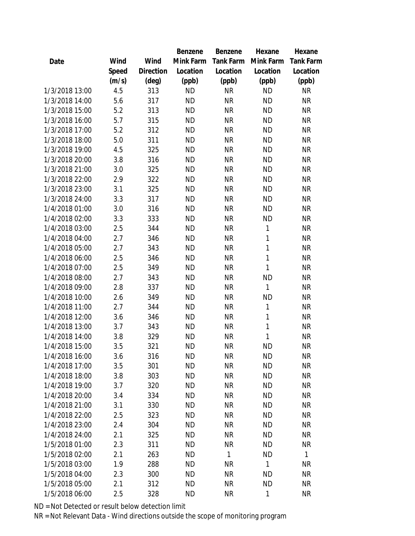|                |       |           | Benzene   | Benzene      | Hexane    | Hexane       |
|----------------|-------|-----------|-----------|--------------|-----------|--------------|
| Date           | Wind  | Wind      | Mink Farm | Tank Farm    | Mink Farm | Tank Farm    |
|                | Speed | Direction | Location  | Location     | Location  | Location     |
|                | (m/s) | (deg)     | (ppb)     | (ppb)        | (ppb)     | (ppb)        |
| 1/3/2018 13:00 | 4.5   | 313       | <b>ND</b> | <b>NR</b>    | <b>ND</b> | <b>NR</b>    |
| 1/3/2018 14:00 | 5.6   | 317       | <b>ND</b> | <b>NR</b>    | <b>ND</b> | <b>NR</b>    |
| 1/3/2018 15:00 | 5.2   | 313       | <b>ND</b> | <b>NR</b>    | <b>ND</b> | <b>NR</b>    |
| 1/3/2018 16:00 | 5.7   | 315       | <b>ND</b> | <b>NR</b>    | <b>ND</b> | <b>NR</b>    |
| 1/3/2018 17:00 | 5.2   | 312       | <b>ND</b> | <b>NR</b>    | <b>ND</b> | <b>NR</b>    |
| 1/3/2018 18:00 | 5.0   | 311       | <b>ND</b> | <b>NR</b>    | <b>ND</b> | <b>NR</b>    |
| 1/3/2018 19:00 | 4.5   | 325       | <b>ND</b> | <b>NR</b>    | <b>ND</b> | <b>NR</b>    |
| 1/3/2018 20:00 | 3.8   | 316       | <b>ND</b> | <b>NR</b>    | <b>ND</b> | <b>NR</b>    |
| 1/3/2018 21:00 | 3.0   | 325       | <b>ND</b> | <b>NR</b>    | <b>ND</b> | <b>NR</b>    |
| 1/3/2018 22:00 | 2.9   | 322       | <b>ND</b> | <b>NR</b>    | <b>ND</b> | <b>NR</b>    |
| 1/3/2018 23:00 | 3.1   | 325       | <b>ND</b> | <b>NR</b>    | <b>ND</b> | <b>NR</b>    |
| 1/3/2018 24:00 | 3.3   | 317       | <b>ND</b> | <b>NR</b>    | <b>ND</b> | <b>NR</b>    |
| 1/4/2018 01:00 | 3.0   | 316       | <b>ND</b> | <b>NR</b>    | <b>ND</b> | <b>NR</b>    |
| 1/4/2018 02:00 | 3.3   | 333       | <b>ND</b> | <b>NR</b>    | <b>ND</b> | <b>NR</b>    |
| 1/4/2018 03:00 | 2.5   | 344       | <b>ND</b> | <b>NR</b>    | 1         | <b>NR</b>    |
| 1/4/2018 04:00 | 2.7   | 346       | <b>ND</b> | <b>NR</b>    | 1         | <b>NR</b>    |
| 1/4/2018 05:00 | 2.7   | 343       | <b>ND</b> | <b>NR</b>    | 1         | <b>NR</b>    |
| 1/4/2018 06:00 | 2.5   | 346       | <b>ND</b> | <b>NR</b>    | 1         | <b>NR</b>    |
| 1/4/2018 07:00 | 2.5   | 349       | <b>ND</b> | <b>NR</b>    | 1         | <b>NR</b>    |
| 1/4/2018 08:00 | 2.7   | 343       | <b>ND</b> | <b>NR</b>    | <b>ND</b> | <b>NR</b>    |
| 1/4/2018 09:00 | 2.8   | 337       | <b>ND</b> | <b>NR</b>    | 1         | <b>NR</b>    |
| 1/4/2018 10:00 | 2.6   | 349       | <b>ND</b> | <b>NR</b>    | <b>ND</b> | <b>NR</b>    |
| 1/4/2018 11:00 | 2.7   | 344       | <b>ND</b> | <b>NR</b>    | 1         | <b>NR</b>    |
| 1/4/2018 12:00 | 3.6   | 346       | <b>ND</b> | <b>NR</b>    | 1         | <b>NR</b>    |
| 1/4/2018 13:00 | 3.7   | 343       | <b>ND</b> | <b>NR</b>    | 1         | <b>NR</b>    |
| 1/4/2018 14:00 | 3.8   | 329       | <b>ND</b> | <b>NR</b>    | 1         | NR           |
| 1/4/2018 15:00 | 3.5   | 321       | <b>ND</b> | <b>NR</b>    | <b>ND</b> | <b>NR</b>    |
| 1/4/2018 16:00 | 3.6   | 316       | <b>ND</b> | <b>NR</b>    | <b>ND</b> | <b>NR</b>    |
| 1/4/2018 17:00 | 3.5   | 301       | <b>ND</b> | <b>NR</b>    | <b>ND</b> | <b>NR</b>    |
| 1/4/2018 18:00 | 3.8   | 303       | <b>ND</b> | <b>NR</b>    | <b>ND</b> | <b>NR</b>    |
| 1/4/2018 19:00 | 3.7   | 320       | <b>ND</b> | <b>NR</b>    | <b>ND</b> | <b>NR</b>    |
| 1/4/2018 20:00 | 3.4   | 334       | <b>ND</b> | <b>NR</b>    | <b>ND</b> | <b>NR</b>    |
| 1/4/2018 21:00 | 3.1   | 330       | <b>ND</b> | NR           | <b>ND</b> | NR           |
| 1/4/2018 22:00 | 2.5   | 323       | <b>ND</b> | <b>NR</b>    | <b>ND</b> | <b>NR</b>    |
| 1/4/2018 23:00 | 2.4   | 304       | <b>ND</b> | <b>NR</b>    | <b>ND</b> | NR           |
| 1/4/2018 24:00 | 2.1   | 325       | <b>ND</b> | <b>NR</b>    | <b>ND</b> | <b>NR</b>    |
| 1/5/2018 01:00 | 2.3   | 311       | <b>ND</b> | <b>NR</b>    | <b>ND</b> | <b>NR</b>    |
| 1/5/2018 02:00 | 2.1   | 263       | <b>ND</b> | $\mathbf{1}$ | <b>ND</b> | $\mathbf{1}$ |
| 1/5/2018 03:00 | 1.9   | 288       | <b>ND</b> | <b>NR</b>    | 1         | <b>NR</b>    |
| 1/5/2018 04:00 | 2.3   | 300       | <b>ND</b> | NR           | <b>ND</b> | NR           |
| 1/5/2018 05:00 | 2.1   | 312       | <b>ND</b> | <b>NR</b>    | <b>ND</b> | <b>NR</b>    |
| 1/5/2018 06:00 | 2.5   | 328       | <b>ND</b> | <b>NR</b>    | 1         | <b>NR</b>    |